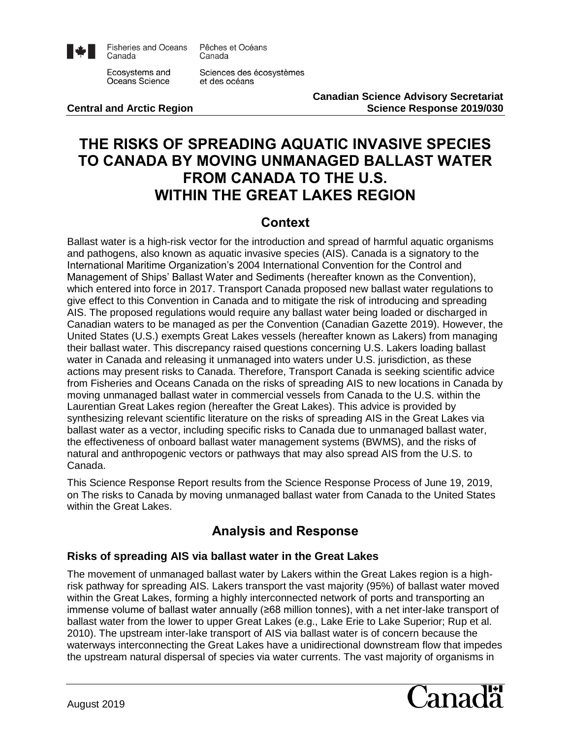

**Fisheries and Oceans** Canada

Pêches et Océans Canada

Ecosystems and Oceans Science

Sciences des écosystèmes et des océans

**Canadian Science Advisory Secretariat Central and Arctic Region Central and Arctic Region Science Response 2019/030** 

# **THE RISKS OF SPREADING AQUATIC INVASIVE SPECIES TO CANADA BY MOVING UNMANAGED BALLAST WATER FROM CANADA TO THE U.S. WITHIN THE GREAT LAKES REGION**

### **Context**

Ballast water is a high-risk vector for the introduction and spread of harmful aquatic organisms and pathogens, also known as aquatic invasive species (AIS). Canada is a signatory to the International Maritime Organization's 2004 International Convention for the Control and Management of Ships' Ballast Water and Sediments (hereafter known as the Convention), which entered into force in 2017. Transport Canada proposed new ballast water regulations to give effect to this Convention in Canada and to mitigate the risk of introducing and spreading AIS. The proposed regulations would require any ballast water being loaded or discharged in Canadian waters to be managed as per the Convention (Canadian Gazette 2019). However, the United States (U.S.) exempts Great Lakes vessels (hereafter known as Lakers) from managing their ballast water. This discrepancy raised questions concerning U.S. Lakers loading ballast water in Canada and releasing it unmanaged into waters under U.S. jurisdiction, as these actions may present risks to Canada. Therefore, Transport Canada is seeking scientific advice from Fisheries and Oceans Canada on the risks of spreading AIS to new locations in Canada by moving unmanaged ballast water in commercial vessels from Canada to the U.S. within the Laurentian Great Lakes region (hereafter the Great Lakes). This advice is provided by synthesizing relevant scientific literature on the risks of spreading AIS in the Great Lakes via ballast water as a vector, including specific risks to Canada due to unmanaged ballast water, the effectiveness of onboard ballast water management systems (BWMS), and the risks of natural and anthropogenic vectors or pathways that may also spread AIS from the U.S. to Canada.

This Science Response Report results from the Science Response Process of June 19, 2019, on The risks to Canada by moving unmanaged ballast water from Canada to the United States within the Great Lakes.

## **Analysis and Response**

### **Risks of spreading AIS via ballast water in the Great Lakes**

The movement of unmanaged ballast water by Lakers within the Great Lakes region is a highrisk pathway for spreading AIS. Lakers transport the vast majority (95%) of ballast water moved within the Great Lakes, forming a highly interconnected network of ports and transporting an immense volume of ballast water annually (≥68 million tonnes), with a net inter-lake transport of ballast water from the lower to upper Great Lakes (e.g., Lake Erie to Lake Superior; Rup et al. 2010). The upstream inter-lake transport of AIS via ballast water is of concern because the waterways interconnecting the Great Lakes have a unidirectional downstream flow that impedes the upstream natural dispersal of species via water currents. The vast majority of organisms in

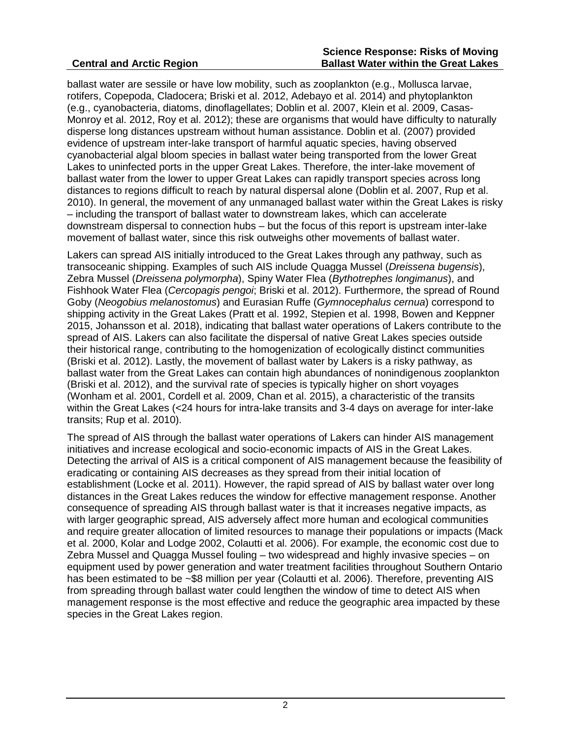ballast water are sessile or have low mobility, such as zooplankton (e.g., Mollusca larvae, rotifers, Copepoda, Cladocera; Briski et al. 2012, Adebayo et al. 2014) and phytoplankton (e.g., cyanobacteria, diatoms, dinoflagellates; Doblin et al. 2007, Klein et al. 2009, Casas-Monroy et al. 2012, Roy et al. 2012); these are organisms that would have difficulty to naturally disperse long distances upstream without human assistance. Doblin et al. (2007) provided evidence of upstream inter-lake transport of harmful aquatic species, having observed cyanobacterial algal bloom species in ballast water being transported from the lower Great Lakes to uninfected ports in the upper Great Lakes. Therefore, the inter-lake movement of ballast water from the lower to upper Great Lakes can rapidly transport species across long distances to regions difficult to reach by natural dispersal alone (Doblin et al. 2007, Rup et al. 2010). In general, the movement of any unmanaged ballast water within the Great Lakes is risky – including the transport of ballast water to downstream lakes, which can accelerate downstream dispersal to connection hubs – but the focus of this report is upstream inter-lake movement of ballast water, since this risk outweighs other movements of ballast water.

Lakers can spread AIS initially introduced to the Great Lakes through any pathway, such as transoceanic shipping. Examples of such AIS include Quagga Mussel (*Dreissena bugensis*), Zebra Mussel (*Dreissena polymorpha*), Spiny Water Flea (*Bythotrephes longimanus*), and Fishhook Water Flea (*Cercopagis pengoi*; Briski et al. 2012). Furthermore, the spread of Round Goby (*Neogobius melanostomus*) and Eurasian Ruffe (*Gymnocephalus cernua*) correspond to shipping activity in the Great Lakes (Pratt et al. 1992, Stepien et al. 1998, Bowen and Keppner 2015, Johansson et al. 2018), indicating that ballast water operations of Lakers contribute to the spread of AIS. Lakers can also facilitate the dispersal of native Great Lakes species outside their historical range, contributing to the homogenization of ecologically distinct communities (Briski et al. 2012). Lastly, the movement of ballast water by Lakers is a risky pathway, as ballast water from the Great Lakes can contain high abundances of nonindigenous zooplankton (Briski et al. 2012), and the survival rate of species is typically higher on short voyages (Wonham et al. 2001, Cordell et al. 2009, Chan et al. 2015), a characteristic of the transits within the Great Lakes (<24 hours for intra-lake transits and 3-4 days on average for inter-lake transits; Rup et al. 2010).

The spread of AIS through the ballast water operations of Lakers can hinder AIS management initiatives and increase ecological and socio-economic impacts of AIS in the Great Lakes. Detecting the arrival of AIS is a critical component of AIS management because the feasibility of eradicating or containing AIS decreases as they spread from their initial location of establishment (Locke et al. 2011). However, the rapid spread of AIS by ballast water over long distances in the Great Lakes reduces the window for effective management response. Another consequence of spreading AIS through ballast water is that it increases negative impacts, as with larger geographic spread, AIS adversely affect more human and ecological communities and require greater allocation of limited resources to manage their populations or impacts (Mack et al. 2000, Kolar and Lodge 2002, Colautti et al. 2006). For example, the economic cost due to Zebra Mussel and Quagga Mussel fouling – two widespread and highly invasive species – on equipment used by power generation and water treatment facilities throughout Southern Ontario has been estimated to be ~\$8 million per year (Colautti et al. 2006). Therefore, preventing AIS from spreading through ballast water could lengthen the window of time to detect AIS when management response is the most effective and reduce the geographic area impacted by these species in the Great Lakes region.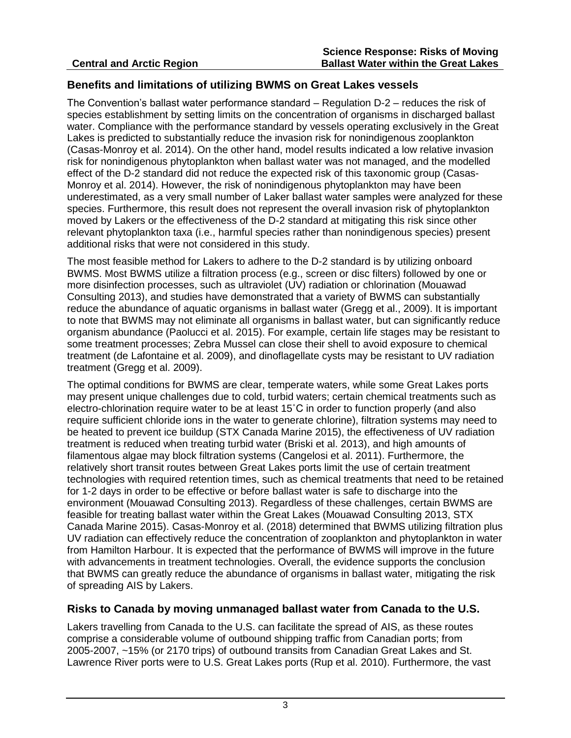#### **Benefits and limitations of utilizing BWMS on Great Lakes vessels**

The Convention's ballast water performance standard – Regulation D-2 – reduces the risk of species establishment by setting limits on the concentration of organisms in discharged ballast water. Compliance with the performance standard by vessels operating exclusively in the Great Lakes is predicted to substantially reduce the invasion risk for nonindigenous zooplankton (Casas-Monroy et al. 2014). On the other hand, model results indicated a low relative invasion risk for nonindigenous phytoplankton when ballast water was not managed, and the modelled effect of the D-2 standard did not reduce the expected risk of this taxonomic group (Casas-Monroy et al. 2014). However, the risk of nonindigenous phytoplankton may have been underestimated, as a very small number of Laker ballast water samples were analyzed for these species. Furthermore, this result does not represent the overall invasion risk of phytoplankton moved by Lakers or the effectiveness of the D-2 standard at mitigating this risk since other relevant phytoplankton taxa (i.e., harmful species rather than nonindigenous species) present additional risks that were not considered in this study.

The most feasible method for Lakers to adhere to the D-2 standard is by utilizing onboard BWMS. Most BWMS utilize a filtration process (e.g., screen or disc filters) followed by one or more disinfection processes, such as ultraviolet (UV) radiation or chlorination (Mouawad Consulting 2013), and studies have demonstrated that a variety of BWMS can substantially reduce the abundance of aquatic organisms in ballast water (Gregg et al., 2009). It is important to note that BWMS may not eliminate all organisms in ballast water, but can significantly reduce organism abundance (Paolucci et al. 2015). For example, certain life stages may be resistant to some treatment processes; Zebra Mussel can close their shell to avoid exposure to chemical treatment (de Lafontaine et al. 2009), and dinoflagellate cysts may be resistant to UV radiation treatment (Gregg et al. 2009).

The optimal conditions for BWMS are clear, temperate waters, while some Great Lakes ports may present unique challenges due to cold, turbid waters; certain chemical treatments such as electro-chlorination require water to be at least 15˚C in order to function properly (and also require sufficient chloride ions in the water to generate chlorine), filtration systems may need to be heated to prevent ice buildup (STX Canada Marine 2015), the effectiveness of UV radiation treatment is reduced when treating turbid water (Briski et al. 2013), and high amounts of filamentous algae may block filtration systems (Cangelosi et al. 2011). Furthermore, the relatively short transit routes between Great Lakes ports limit the use of certain treatment technologies with required retention times, such as chemical treatments that need to be retained for 1-2 days in order to be effective or before ballast water is safe to discharge into the environment (Mouawad Consulting 2013). Regardless of these challenges, certain BWMS are feasible for treating ballast water within the Great Lakes (Mouawad Consulting 2013, STX Canada Marine 2015). Casas-Monroy et al. (2018) determined that BWMS utilizing filtration plus UV radiation can effectively reduce the concentration of zooplankton and phytoplankton in water from Hamilton Harbour. It is expected that the performance of BWMS will improve in the future with advancements in treatment technologies. Overall, the evidence supports the conclusion that BWMS can greatly reduce the abundance of organisms in ballast water, mitigating the risk of spreading AIS by Lakers.

#### **Risks to Canada by moving unmanaged ballast water from Canada to the U.S.**

Lakers travelling from Canada to the U.S. can facilitate the spread of AIS, as these routes comprise a considerable volume of outbound shipping traffic from Canadian ports; from 2005-2007, ~15% (or 2170 trips) of outbound transits from Canadian Great Lakes and St. Lawrence River ports were to U.S. Great Lakes ports (Rup et al. 2010). Furthermore, the vast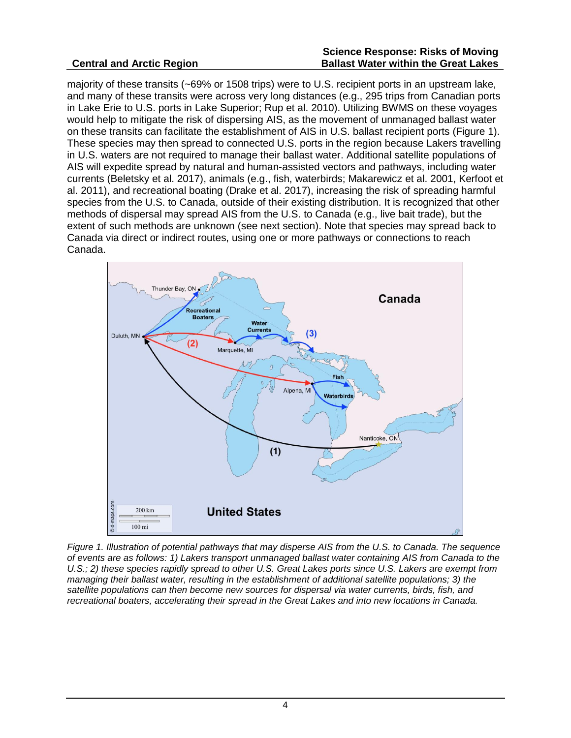#### **Central and Arctic Region**

#### **Science Response: Risks of Moving Ballast Water within the Great Lakes**

majority of these transits (~69% or 1508 trips) were to U.S. recipient ports in an upstream lake, and many of these transits were across very long distances (e.g., 295 trips from Canadian ports in Lake Erie to U.S. ports in Lake Superior; Rup et al. 2010). Utilizing BWMS on these voyages would help to mitigate the risk of dispersing AIS, as the movement of unmanaged ballast water on these transits can facilitate the establishment of AIS in U.S. ballast recipient ports (Figure 1). These species may then spread to connected U.S. ports in the region because Lakers travelling in U.S. waters are not required to manage their ballast water. Additional satellite populations of AIS will expedite spread by natural and human-assisted vectors and pathways, including water currents (Beletsky et al. 2017), animals (e.g., fish, waterbirds; Makarewicz et al. 2001, Kerfoot et al. 2011), and recreational boating (Drake et al. 2017), increasing the risk of spreading harmful species from the U.S. to Canada, outside of their existing distribution. It is recognized that other methods of dispersal may spread AIS from the U.S. to Canada (e.g., live bait trade), but the extent of such methods are unknown (see next section). Note that species may spread back to Canada via direct or indirect routes, using one or more pathways or connections to reach Canada.



*Figure 1. Illustration of potential pathways that may disperse AIS from the U.S. to Canada. The sequence of events are as follows: 1) Lakers transport unmanaged ballast water containing AIS from Canada to the U.S.; 2) these species rapidly spread to other U.S. Great Lakes ports since U.S. Lakers are exempt from managing their ballast water, resulting in the establishment of additional satellite populations; 3) the satellite populations can then become new sources for dispersal via water currents, birds, fish, and recreational boaters, accelerating their spread in the Great Lakes and into new locations in Canada.*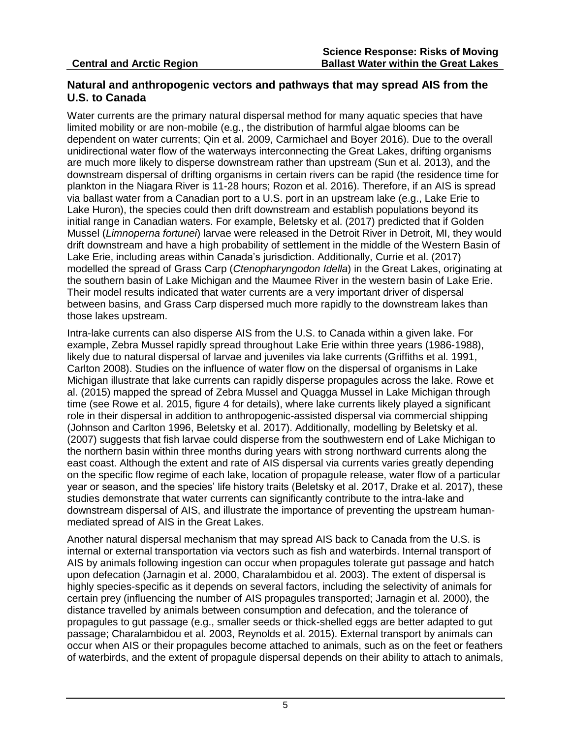#### **Natural and anthropogenic vectors and pathways that may spread AIS from the U.S. to Canada**

Water currents are the primary natural dispersal method for many aquatic species that have limited mobility or are non-mobile (e.g., the distribution of harmful algae blooms can be dependent on water currents; Qin et al. 2009, Carmichael and Boyer 2016). Due to the overall unidirectional water flow of the waterways interconnecting the Great Lakes, drifting organisms are much more likely to disperse downstream rather than upstream (Sun et al. 2013), and the downstream dispersal of drifting organisms in certain rivers can be rapid (the residence time for plankton in the Niagara River is 11-28 hours; Rozon et al. 2016). Therefore, if an AIS is spread via ballast water from a Canadian port to a U.S. port in an upstream lake (e.g., Lake Erie to Lake Huron), the species could then drift downstream and establish populations beyond its initial range in Canadian waters. For example, Beletsky et al. (2017) predicted that if Golden Mussel (*Limnoperna fortunei*) larvae were released in the Detroit River in Detroit, MI, they would drift downstream and have a high probability of settlement in the middle of the Western Basin of Lake Erie, including areas within Canada's jurisdiction. Additionally, Currie et al. (2017) modelled the spread of Grass Carp (*Ctenopharyngodon Idella*) in the Great Lakes, originating at the southern basin of Lake Michigan and the Maumee River in the western basin of Lake Erie. Their model results indicated that water currents are a very important driver of dispersal between basins, and Grass Carp dispersed much more rapidly to the downstream lakes than those lakes upstream.

Intra-lake currents can also disperse AIS from the U.S. to Canada within a given lake. For example, Zebra Mussel rapidly spread throughout Lake Erie within three years (1986-1988), likely due to natural dispersal of larvae and juveniles via lake currents (Griffiths et al. 1991, Carlton 2008). Studies on the influence of water flow on the dispersal of organisms in Lake Michigan illustrate that lake currents can rapidly disperse propagules across the lake. Rowe et al. (2015) mapped the spread of Zebra Mussel and Quagga Mussel in Lake Michigan through time (see Rowe et al. 2015, figure 4 for details), where lake currents likely played a significant role in their dispersal in addition to anthropogenic-assisted dispersal via commercial shipping (Johnson and Carlton 1996, Beletsky et al. 2017). Additionally, modelling by Beletsky et al. (2007) suggests that fish larvae could disperse from the southwestern end of Lake Michigan to the northern basin within three months during years with strong northward currents along the east coast. Although the extent and rate of AIS dispersal via currents varies greatly depending on the specific flow regime of each lake, location of propagule release, water flow of a particular year or season, and the species' life history traits (Beletsky et al. 2017, Drake et al. 2017), these studies demonstrate that water currents can significantly contribute to the intra-lake and downstream dispersal of AIS, and illustrate the importance of preventing the upstream humanmediated spread of AIS in the Great Lakes.

Another natural dispersal mechanism that may spread AIS back to Canada from the U.S. is internal or external transportation via vectors such as fish and waterbirds. Internal transport of AIS by animals following ingestion can occur when propagules tolerate gut passage and hatch upon defecation (Jarnagin et al. 2000, Charalambidou et al. 2003). The extent of dispersal is highly species-specific as it depends on several factors, including the selectivity of animals for certain prey (influencing the number of AIS propagules transported; Jarnagin et al. 2000), the distance travelled by animals between consumption and defecation, and the tolerance of propagules to gut passage (e.g., smaller seeds or thick-shelled eggs are better adapted to gut passage; Charalambidou et al. 2003, Reynolds et al. 2015). External transport by animals can occur when AIS or their propagules become attached to animals, such as on the feet or feathers of waterbirds, and the extent of propagule dispersal depends on their ability to attach to animals,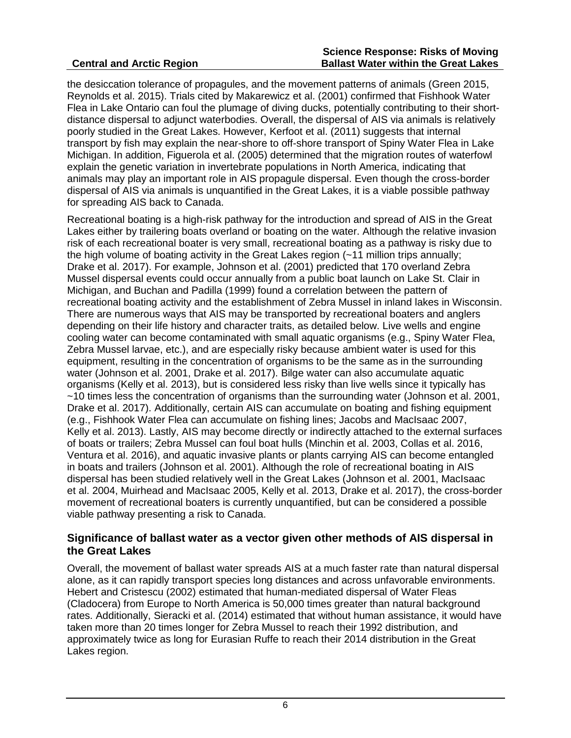#### **Central and Arctic Region**

the desiccation tolerance of propagules, and the movement patterns of animals (Green 2015, Reynolds et al. 2015). Trials cited by Makarewicz et al. (2001) confirmed that Fishhook Water Flea in Lake Ontario can foul the plumage of diving ducks, potentially contributing to their shortdistance dispersal to adjunct waterbodies. Overall, the dispersal of AIS via animals is relatively poorly studied in the Great Lakes. However, Kerfoot et al. (2011) suggests that internal transport by fish may explain the near-shore to off-shore transport of Spiny Water Flea in Lake Michigan. In addition, Figuerola et al. (2005) determined that the migration routes of waterfowl explain the genetic variation in invertebrate populations in North America, indicating that animals may play an important role in AIS propagule dispersal. Even though the cross-border dispersal of AIS via animals is unquantified in the Great Lakes, it is a viable possible pathway for spreading AIS back to Canada.

Recreational boating is a high-risk pathway for the introduction and spread of AIS in the Great Lakes either by trailering boats overland or boating on the water. Although the relative invasion risk of each recreational boater is very small, recreational boating as a pathway is risky due to the high volume of boating activity in the Great Lakes region (~11 million trips annually; Drake et al. 2017). For example, Johnson et al. (2001) predicted that 170 overland Zebra Mussel dispersal events could occur annually from a public boat launch on Lake St. Clair in Michigan, and Buchan and Padilla (1999) found a correlation between the pattern of recreational boating activity and the establishment of Zebra Mussel in inland lakes in Wisconsin. There are numerous ways that AIS may be transported by recreational boaters and anglers depending on their life history and character traits, as detailed below. Live wells and engine cooling water can become contaminated with small aquatic organisms (e.g., Spiny Water Flea, Zebra Mussel larvae, etc.), and are especially risky because ambient water is used for this equipment, resulting in the concentration of organisms to be the same as in the surrounding water (Johnson et al. 2001, Drake et al. 2017). Bilge water can also accumulate aquatic organisms (Kelly et al. 2013), but is considered less risky than live wells since it typically has ~10 times less the concentration of organisms than the surrounding water (Johnson et al. 2001, Drake et al. 2017). Additionally, certain AIS can accumulate on boating and fishing equipment (e.g., Fishhook Water Flea can accumulate on fishing lines; Jacobs and MacIsaac 2007, Kelly et al. 2013). Lastly, AIS may become directly or indirectly attached to the external surfaces of boats or trailers; Zebra Mussel can foul boat hulls (Minchin et al. 2003, Collas et al. 2016, Ventura et al. 2016), and aquatic invasive plants or plants carrying AIS can become entangled in boats and trailers (Johnson et al. 2001). Although the role of recreational boating in AIS dispersal has been studied relatively well in the Great Lakes (Johnson et al. 2001, MacIsaac et al. 2004, Muirhead and MacIsaac 2005, Kelly et al. 2013, Drake et al. 2017), the cross-border movement of recreational boaters is currently unquantified, but can be considered a possible viable pathway presenting a risk to Canada.

#### **Significance of ballast water as a vector given other methods of AIS dispersal in the Great Lakes**

Overall, the movement of ballast water spreads AIS at a much faster rate than natural dispersal alone, as it can rapidly transport species long distances and across unfavorable environments. Hebert and Cristescu (2002) estimated that human-mediated dispersal of Water Fleas (Cladocera) from Europe to North America is 50,000 times greater than natural background rates. Additionally, Sieracki et al. (2014) estimated that without human assistance, it would have taken more than 20 times longer for Zebra Mussel to reach their 1992 distribution, and approximately twice as long for Eurasian Ruffe to reach their 2014 distribution in the Great Lakes region.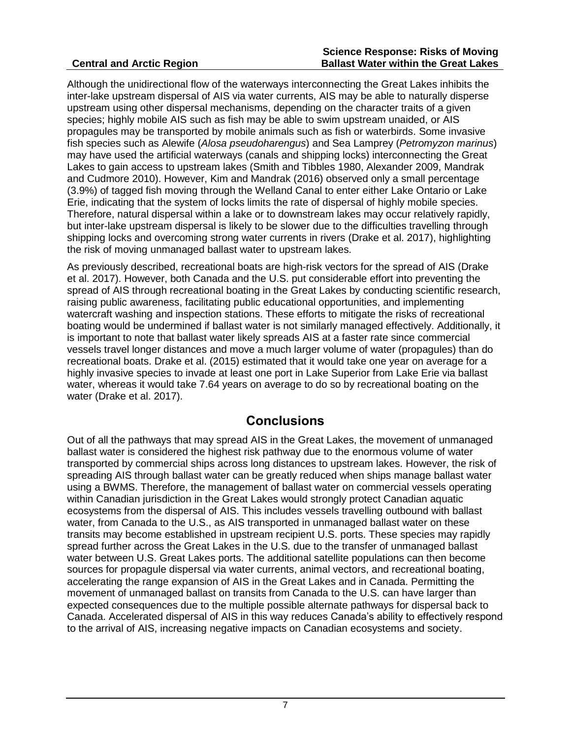#### **Central and Arctic Region**

Although the unidirectional flow of the waterways interconnecting the Great Lakes inhibits the inter-lake upstream dispersal of AIS via water currents, AIS may be able to naturally disperse upstream using other dispersal mechanisms, depending on the character traits of a given species; highly mobile AIS such as fish may be able to swim upstream unaided, or AIS propagules may be transported by mobile animals such as fish or waterbirds. Some invasive fish species such as Alewife (*Alosa pseudoharengus*) and Sea Lamprey (*Petromyzon marinus*) may have used the artificial waterways (canals and shipping locks) interconnecting the Great Lakes to gain access to upstream lakes (Smith and Tibbles 1980, Alexander 2009, Mandrak and Cudmore 2010). However, Kim and Mandrak (2016) observed only a small percentage (3.9%) of tagged fish moving through the Welland Canal to enter either Lake Ontario or Lake Erie, indicating that the system of locks limits the rate of dispersal of highly mobile species. Therefore, natural dispersal within a lake or to downstream lakes may occur relatively rapidly, but inter-lake upstream dispersal is likely to be slower due to the difficulties travelling through shipping locks and overcoming strong water currents in rivers (Drake et al. 2017), highlighting the risk of moving unmanaged ballast water to upstream lakes.

As previously described, recreational boats are high-risk vectors for the spread of AIS (Drake et al. 2017). However, both Canada and the U.S. put considerable effort into preventing the spread of AIS through recreational boating in the Great Lakes by conducting scientific research, raising public awareness, facilitating public educational opportunities, and implementing watercraft washing and inspection stations. These efforts to mitigate the risks of recreational boating would be undermined if ballast water is not similarly managed effectively. Additionally, it is important to note that ballast water likely spreads AIS at a faster rate since commercial vessels travel longer distances and move a much larger volume of water (propagules) than do recreational boats. Drake et al. (2015) estimated that it would take one year on average for a highly invasive species to invade at least one port in Lake Superior from Lake Erie via ballast water, whereas it would take 7.64 years on average to do so by recreational boating on the water (Drake et al. 2017).

### **Conclusions**

Out of all the pathways that may spread AIS in the Great Lakes, the movement of unmanaged ballast water is considered the highest risk pathway due to the enormous volume of water transported by commercial ships across long distances to upstream lakes. However, the risk of spreading AIS through ballast water can be greatly reduced when ships manage ballast water using a BWMS. Therefore, the management of ballast water on commercial vessels operating within Canadian jurisdiction in the Great Lakes would strongly protect Canadian aquatic ecosystems from the dispersal of AIS. This includes vessels travelling outbound with ballast water, from Canada to the U.S., as AIS transported in unmanaged ballast water on these transits may become established in upstream recipient U.S. ports. These species may rapidly spread further across the Great Lakes in the U.S. due to the transfer of unmanaged ballast water between U.S. Great Lakes ports. The additional satellite populations can then become sources for propagule dispersal via water currents, animal vectors, and recreational boating, accelerating the range expansion of AIS in the Great Lakes and in Canada. Permitting the movement of unmanaged ballast on transits from Canada to the U.S. can have larger than expected consequences due to the multiple possible alternate pathways for dispersal back to Canada. Accelerated dispersal of AIS in this way reduces Canada's ability to effectively respond to the arrival of AIS, increasing negative impacts on Canadian ecosystems and society.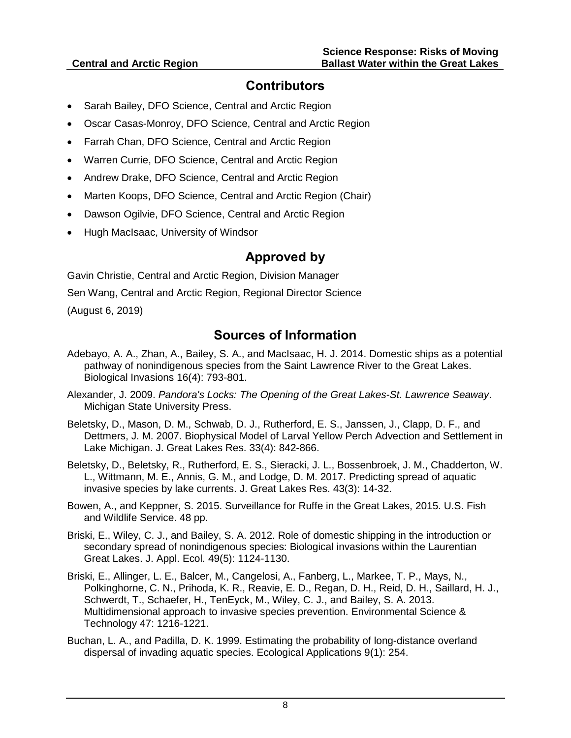### **Contributors**

- Sarah Bailey, DFO Science, Central and Arctic Region
- Oscar Casas-Monroy, DFO Science, Central and Arctic Region
- Farrah Chan, DFO Science, Central and Arctic Region
- Warren Currie, DFO Science, Central and Arctic Region
- Andrew Drake, DFO Science, Central and Arctic Region
- Marten Koops, DFO Science, Central and Arctic Region (Chair)
- Dawson Ogilvie, DFO Science, Central and Arctic Region
- Hugh MacIsaac, University of Windsor

### **Approved by**

Gavin Christie, Central and Arctic Region, Division Manager Sen Wang, Central and Arctic Region, Regional Director Science (August 6, 2019)

### **Sources of Information**

- Adebayo, A. A., Zhan, A., Bailey, S. A., and MacIsaac, H. J. 2014. Domestic ships as a potential pathway of nonindigenous species from the Saint Lawrence River to the Great Lakes. Biological Invasions 16(4): 793-801.
- Alexander, J. 2009. *Pandora's Locks: The Opening of the Great Lakes-St. Lawrence Seaway*. Michigan State University Press.
- Beletsky, D., Mason, D. M., Schwab, D. J., Rutherford, E. S., Janssen, J., Clapp, D. F., and Dettmers, J. M. 2007. Biophysical Model of Larval Yellow Perch Advection and Settlement in Lake Michigan. J. Great Lakes Res. 33(4): 842-866.
- Beletsky, D., Beletsky, R., Rutherford, E. S., Sieracki, J. L., Bossenbroek, J. M., Chadderton, W. L., Wittmann, M. E., Annis, G. M., and Lodge, D. M. 2017. Predicting spread of aquatic invasive species by lake currents. J. Great Lakes Res. 43(3): 14-32.
- Bowen, A., and Keppner, S. 2015. Surveillance for Ruffe in the Great Lakes, 2015. U.S. Fish and Wildlife Service. 48 pp.
- Briski, E., Wiley, C. J., and Bailey, S. A. 2012. Role of domestic shipping in the introduction or secondary spread of nonindigenous species: Biological invasions within the Laurentian Great Lakes. J. Appl. Ecol. 49(5): 1124-1130.
- Briski, E., Allinger, L. E., Balcer, M., Cangelosi, A., Fanberg, L., Markee, T. P., Mays, N., Polkinghorne, C. N., Prihoda, K. R., Reavie, E. D., Regan, D. H., Reid, D. H., Saillard, H. J., Schwerdt, T., Schaefer, H., TenEyck, M., Wiley, C. J., and Bailey, S. A. 2013. Multidimensional approach to invasive species prevention. Environmental Science & Technology 47: 1216-1221.
- Buchan, L. A., and Padilla, D. K. 1999. Estimating the probability of long-distance overland dispersal of invading aquatic species. Ecological Applications 9(1): 254.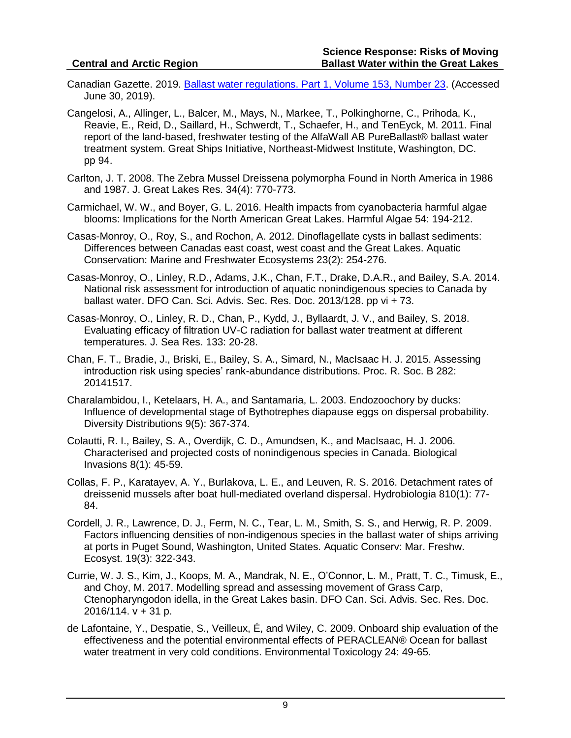- Canadian Gazette. 2019. [Ballast water regulations. Part 1, Volume 153, Number 23.](http://www.gazette.gc.ca/rp-pr/p1/2019/2019-06-08/html/reg4-eng.html) (Accessed June 30, 2019).
- Cangelosi, A., Allinger, L., Balcer, M., Mays, N., Markee, T., Polkinghorne, C., Prihoda, K., Reavie, E., Reid, D., Saillard, H., Schwerdt, T., Schaefer, H., and TenEyck, M. 2011. Final report of the land-based, freshwater testing of the AlfaWall AB PureBallast® ballast water treatment system. Great Ships Initiative, Northeast-Midwest Institute, Washington, DC. pp 94.
- Carlton, J. T. 2008. The Zebra Mussel Dreissena polymorpha Found in North America in 1986 and 1987. J. Great Lakes Res. 34(4): 770-773.
- Carmichael, W. W., and Boyer, G. L. 2016. Health impacts from cyanobacteria harmful algae blooms: Implications for the North American Great Lakes. Harmful Algae 54: 194-212.
- Casas-Monroy, O., Roy, S., and Rochon, A. 2012. Dinoflagellate cysts in ballast sediments: Differences between Canadas east coast, west coast and the Great Lakes. Aquatic Conservation: Marine and Freshwater Ecosystems 23(2): 254-276.
- Casas-Monroy, O., Linley, R.D., Adams, J.K., Chan, F.T., Drake, D.A.R., and Bailey, S.A. 2014. National risk assessment for introduction of aquatic nonindigenous species to Canada by ballast water. DFO Can. Sci. Advis. Sec. Res. Doc. 2013/128. pp vi + 73.
- Casas-Monroy, O., Linley, R. D., Chan, P., Kydd, J., Byllaardt, J. V., and Bailey, S. 2018. Evaluating efficacy of filtration UV-C radiation for ballast water treatment at different temperatures. J. Sea Res. 133: 20-28.
- Chan, F. T., Bradie, J., Briski, E., Bailey, S. A., Simard, N., MacIsaac H. J. 2015. Assessing introduction risk using species' rank-abundance distributions. Proc. R. Soc. B 282: 20141517.
- Charalambidou, I., Ketelaars, H. A., and Santamaria, L. 2003. Endozoochory by ducks: Influence of developmental stage of Bythotrephes diapause eggs on dispersal probability. Diversity Distributions 9(5): 367-374.
- Colautti, R. I., Bailey, S. A., Overdijk, C. D., Amundsen, K., and MacIsaac, H. J. 2006. Characterised and projected costs of nonindigenous species in Canada. Biological Invasions 8(1): 45-59.
- Collas, F. P., Karatayev, A. Y., Burlakova, L. E., and Leuven, R. S. 2016. Detachment rates of dreissenid mussels after boat hull-mediated overland dispersal. Hydrobiologia 810(1): 77- 84.
- Cordell, J. R., Lawrence, D. J., Ferm, N. C., Tear, L. M., Smith, S. S., and Herwig, R. P. 2009. Factors influencing densities of non-indigenous species in the ballast water of ships arriving at ports in Puget Sound, Washington, United States. Aquatic Conserv: Mar. Freshw. Ecosyst. 19(3): 322-343.
- Currie, W. J. S., Kim, J., Koops, M. A., Mandrak, N. E., O'Connor, L. M., Pratt, T. C., Timusk, E., and Choy, M. 2017. Modelling spread and assessing movement of Grass Carp, Ctenopharyngodon idella, in the Great Lakes basin. DFO Can. Sci. Advis. Sec. Res. Doc. 2016/114. v + 31 p.
- de Lafontaine, Y., Despatie, S., Veilleux, É, and Wiley, C. 2009. Onboard ship evaluation of the effectiveness and the potential environmental effects of PERACLEAN® Ocean for ballast water treatment in very cold conditions. Environmental Toxicology 24: 49-65.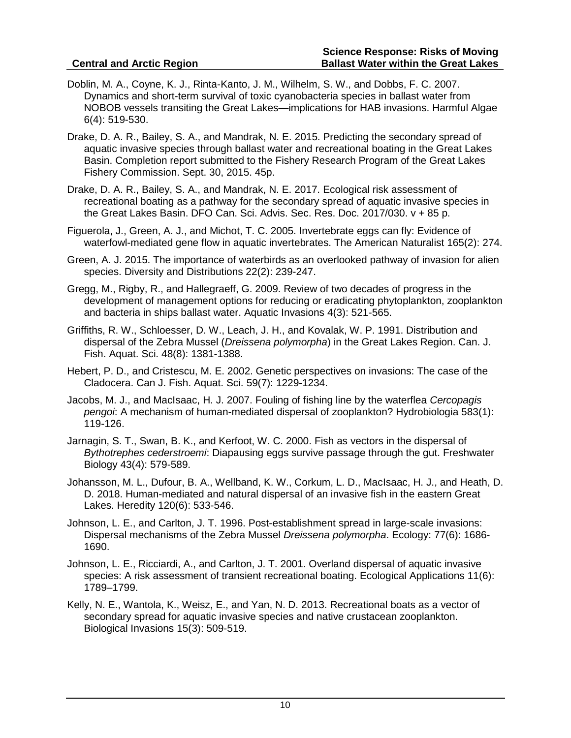- Doblin, M. A., Coyne, K. J., Rinta-Kanto, J. M., Wilhelm, S. W., and Dobbs, F. C. 2007. Dynamics and short-term survival of toxic cyanobacteria species in ballast water from NOBOB vessels transiting the Great Lakes—implications for HAB invasions. Harmful Algae 6(4): 519-530.
- Drake, D. A. R., Bailey, S. A., and Mandrak, N. E. 2015. Predicting the secondary spread of aquatic invasive species through ballast water and recreational boating in the Great Lakes Basin. Completion report submitted to the Fishery Research Program of the Great Lakes Fishery Commission. Sept. 30, 2015. 45p.
- Drake, D. A. R., Bailey, S. A., and Mandrak, N. E. 2017. Ecological risk assessment of recreational boating as a pathway for the secondary spread of aquatic invasive species in the Great Lakes Basin. DFO Can. Sci. Advis. Sec. Res. Doc. 2017/030. v + 85 p.
- Figuerola, J., Green, A. J., and Michot, T. C. 2005. Invertebrate eggs can fly: Evidence of waterfowl-mediated gene flow in aquatic invertebrates. The American Naturalist 165(2): 274.
- Green, A. J. 2015. The importance of waterbirds as an overlooked pathway of invasion for alien species. Diversity and Distributions 22(2): 239-247.
- Gregg, M., Rigby, R., and Hallegraeff, G. 2009. Review of two decades of progress in the development of management options for reducing or eradicating phytoplankton, zooplankton and bacteria in ships ballast water. Aquatic Invasions 4(3): 521-565.
- Griffiths, R. W., Schloesser, D. W., Leach, J. H., and Kovalak, W. P. 1991. Distribution and dispersal of the Zebra Mussel (*Dreissena polymorpha*) in the Great Lakes Region. Can. J. Fish. Aquat. Sci. 48(8): 1381-1388.
- Hebert, P. D., and Cristescu, M. E. 2002. Genetic perspectives on invasions: The case of the Cladocera. Can J. Fish. Aquat. Sci. 59(7): 1229-1234.
- Jacobs, M. J., and MacIsaac, H. J. 2007. Fouling of fishing line by the waterflea *Cercopagis pengoi*: A mechanism of human-mediated dispersal of zooplankton? Hydrobiologia 583(1): 119-126.
- Jarnagin, S. T., Swan, B. K., and Kerfoot, W. C. 2000. Fish as vectors in the dispersal of *Bythotrephes cederstroemi*: Diapausing eggs survive passage through the gut. Freshwater Biology 43(4): 579-589.
- Johansson, M. L., Dufour, B. A., Wellband, K. W., Corkum, L. D., MacIsaac, H. J., and Heath, D. D. 2018. Human-mediated and natural dispersal of an invasive fish in the eastern Great Lakes. Heredity 120(6): 533-546.
- Johnson, L. E., and Carlton, J. T. 1996. Post-establishment spread in large-scale invasions: Dispersal mechanisms of the Zebra Mussel *Dreissena polymorpha*. Ecology: 77(6): 1686- 1690.
- Johnson, L. E., Ricciardi, A., and Carlton, J. T. 2001. Overland dispersal of aquatic invasive species: A risk assessment of transient recreational boating. Ecological Applications 11(6): 1789–1799.
- Kelly, N. E., Wantola, K., Weisz, E., and Yan, N. D. 2013. Recreational boats as a vector of secondary spread for aquatic invasive species and native crustacean zooplankton. Biological Invasions 15(3): 509-519.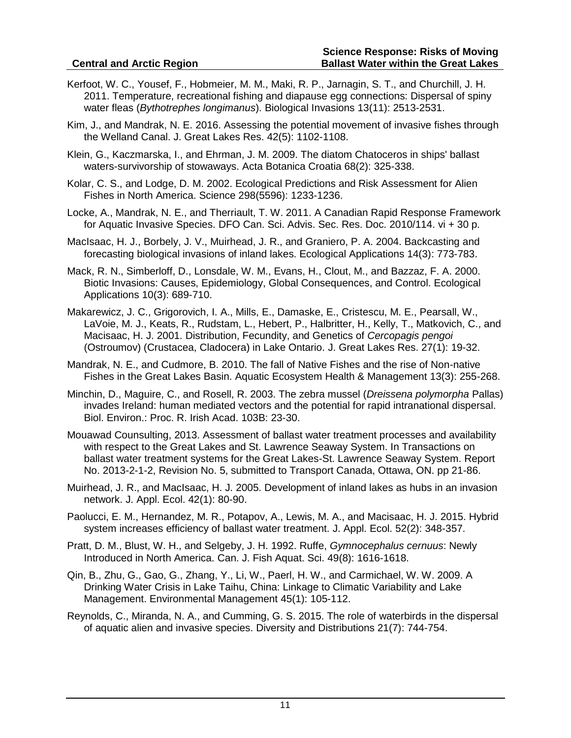- Kerfoot, W. C., Yousef, F., Hobmeier, M. M., Maki, R. P., Jarnagin, S. T., and Churchill, J. H. 2011. Temperature, recreational fishing and diapause egg connections: Dispersal of spiny water fleas (*Bythotrephes longimanus*). Biological Invasions 13(11): 2513-2531.
- Kim, J., and Mandrak, N. E. 2016. Assessing the potential movement of invasive fishes through the Welland Canal. J. Great Lakes Res. 42(5): 1102-1108.
- Klein, G., Kaczmarska, I., and Ehrman, J. M. 2009. The diatom Chatoceros in ships' ballast waters-survivorship of stowaways. Acta Botanica Croatia 68(2): 325-338.
- Kolar, C. S., and Lodge, D. M. 2002. Ecological Predictions and Risk Assessment for Alien Fishes in North America. Science 298(5596): 1233-1236.
- Locke, A., Mandrak, N. E., and Therriault, T. W. 2011. A Canadian Rapid Response Framework for Aquatic Invasive Species. DFO Can. Sci. Advis. Sec. Res. Doc. 2010/114. vi + 30 p.
- MacIsaac, H. J., Borbely, J. V., Muirhead, J. R., and Graniero, P. A. 2004. Backcasting and forecasting biological invasions of inland lakes. Ecological Applications 14(3): 773-783.
- Mack, R. N., Simberloff, D., Lonsdale, W. M., Evans, H., Clout, M., and Bazzaz, F. A. 2000. Biotic Invasions: Causes, Epidemiology, Global Consequences, and Control. Ecological Applications 10(3): 689-710.
- Makarewicz, J. C., Grigorovich, I. A., Mills, E., Damaske, E., Cristescu, M. E., Pearsall, W., LaVoie, M. J., Keats, R., Rudstam, L., Hebert, P., Halbritter, H., Kelly, T., Matkovich, C., and Macisaac, H. J. 2001. Distribution, Fecundity, and Genetics of *Cercopagis pengoi* (Ostroumov) (Crustacea, Cladocera) in Lake Ontario. J. Great Lakes Res. 27(1): 19-32.
- Mandrak, N. E., and Cudmore, B. 2010. The fall of Native Fishes and the rise of Non-native Fishes in the Great Lakes Basin. Aquatic Ecosystem Health & Management 13(3): 255-268.
- Minchin, D., Maguire, C., and Rosell, R. 2003. The zebra mussel (*Dreissena polymorpha* Pallas) invades Ireland: human mediated vectors and the potential for rapid intranational dispersal. Biol. Environ.: Proc. R. Irish Acad. 103B: 23-30.
- Mouawad Counsulting, 2013. Assessment of ballast water treatment processes and availability with respect to the Great Lakes and St. Lawrence Seaway System. In Transactions on ballast water treatment systems for the Great Lakes-St. Lawrence Seaway System. Report No. 2013-2-1-2, Revision No. 5, submitted to Transport Canada, Ottawa, ON. pp 21-86.
- Muirhead, J. R., and MacIsaac, H. J. 2005. Development of inland lakes as hubs in an invasion network. J. Appl. Ecol. 42(1): 80-90.
- Paolucci, E. M., Hernandez, M. R., Potapov, A., Lewis, M. A., and Macisaac, H. J. 2015. Hybrid system increases efficiency of ballast water treatment. J. Appl. Ecol. 52(2): 348-357.
- Pratt, D. M., Blust, W. H., and Selgeby, J. H. 1992. Ruffe, *Gymnocephalus cernuus*: Newly Introduced in North America. Can. J. Fish Aquat. Sci. 49(8): 1616-1618.
- Qin, B., Zhu, G., Gao, G., Zhang, Y., Li, W., Paerl, H. W., and Carmichael, W. W. 2009. A Drinking Water Crisis in Lake Taihu, China: Linkage to Climatic Variability and Lake Management. Environmental Management 45(1): 105-112.
- Reynolds, C., Miranda, N. A., and Cumming, G. S. 2015. The role of waterbirds in the dispersal of aquatic alien and invasive species. Diversity and Distributions 21(7): 744-754.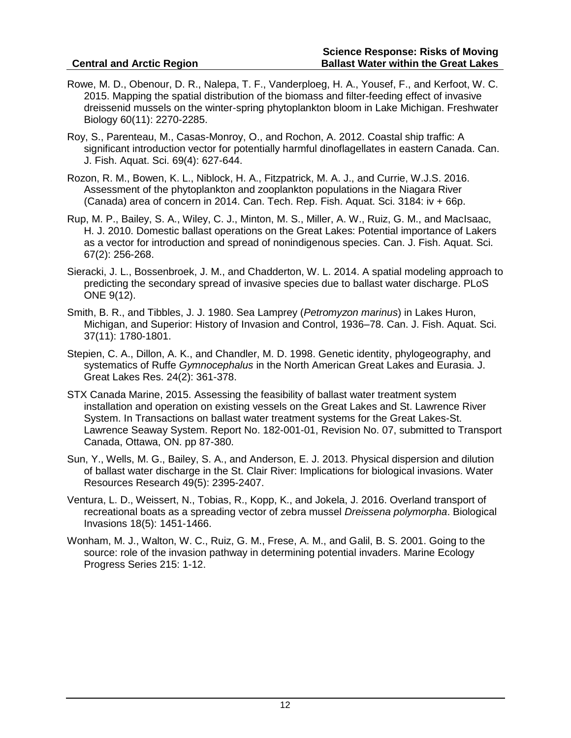- Rowe, M. D., Obenour, D. R., Nalepa, T. F., Vanderploeg, H. A., Yousef, F., and Kerfoot, W. C. 2015. Mapping the spatial distribution of the biomass and filter-feeding effect of invasive dreissenid mussels on the winter-spring phytoplankton bloom in Lake Michigan. Freshwater Biology 60(11): 2270-2285.
- Roy, S., Parenteau, M., Casas-Monroy, O., and Rochon, A. 2012. Coastal ship traffic: A significant introduction vector for potentially harmful dinoflagellates in eastern Canada. Can. J. Fish. Aquat. Sci. 69(4): 627-644.
- Rozon, R. M., Bowen, K. L., Niblock, H. A., Fitzpatrick, M. A. J., and Currie, W.J.S. 2016. Assessment of the phytoplankton and zooplankton populations in the Niagara River (Canada) area of concern in 2014. Can. Tech. Rep. Fish. Aquat. Sci. 3184: iv + 66p.
- Rup, M. P., Bailey, S. A., Wiley, C. J., Minton, M. S., Miller, A. W., Ruiz, G. M., and MacIsaac, H. J. 2010. Domestic ballast operations on the Great Lakes: Potential importance of Lakers as a vector for introduction and spread of nonindigenous species. Can. J. Fish. Aquat. Sci. 67(2): 256-268.
- Sieracki, J. L., Bossenbroek, J. M., and Chadderton, W. L. 2014. A spatial modeling approach to predicting the secondary spread of invasive species due to ballast water discharge. PLoS ONE 9(12).
- Smith, B. R., and Tibbles, J. J. 1980. Sea Lamprey (*Petromyzon marinus*) in Lakes Huron, Michigan, and Superior: History of Invasion and Control, 1936–78. Can. J. Fish. Aquat. Sci. 37(11): 1780-1801.
- Stepien, C. A., Dillon, A. K., and Chandler, M. D. 1998. Genetic identity, phylogeography, and systematics of Ruffe *Gymnocephalus* in the North American Great Lakes and Eurasia. J. Great Lakes Res. 24(2): 361-378.
- STX Canada Marine, 2015. Assessing the feasibility of ballast water treatment system installation and operation on existing vessels on the Great Lakes and St. Lawrence River System. In Transactions on ballast water treatment systems for the Great Lakes-St. Lawrence Seaway System. Report No. 182-001-01, Revision No. 07, submitted to Transport Canada, Ottawa, ON. pp 87-380.
- Sun, Y., Wells, M. G., Bailey, S. A., and Anderson, E. J. 2013. Physical dispersion and dilution of ballast water discharge in the St. Clair River: Implications for biological invasions. Water Resources Research 49(5): 2395-2407.
- Ventura, L. D., Weissert, N., Tobias, R., Kopp, K., and Jokela, J. 2016. Overland transport of recreational boats as a spreading vector of zebra mussel *Dreissena polymorpha*. Biological Invasions 18(5): 1451-1466.
- Wonham, M. J., Walton, W. C., Ruiz, G. M., Frese, A. M., and Galil, B. S. 2001. Going to the source: role of the invasion pathway in determining potential invaders. Marine Ecology Progress Series 215: 1-12.